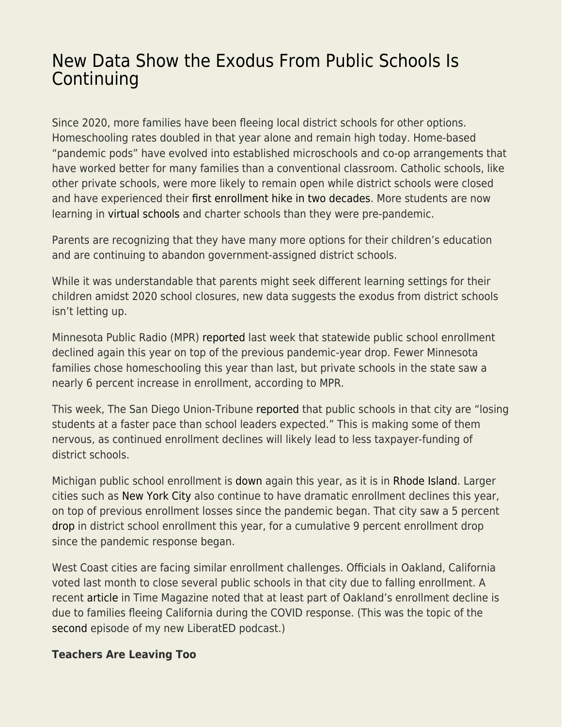## [New Data Show the Exodus From Public Schools Is](https://everything-voluntary.com/new-data-show-the-exodus-from-public-schools-is-continuing) [Continuing](https://everything-voluntary.com/new-data-show-the-exodus-from-public-schools-is-continuing)

Since 2020, more families have been fleeing local district schools for other options. Homeschooling rates doubled in that year alone and remain high today. Home-based "pandemic pods" have evolved into established microschools and co-op arrangements that have worked better for many families than a conventional classroom. Catholic schools, like other private schools, were more likely to remain open while district schools were closed and have experienced their [first enrollment hike in two decades.](https://nypost.com/2022/02/24/catholic-schools-see-first-enrollment-hike-in-two-decades/) More students are now learning in [virtual schools](https://www.washingtonpost.com/education/2022/02/19/virtual-school-enrollment-increase/) and charter schools than they were pre-pandemic.

Parents are recognizing that they have many more options for their children's education and are continuing to abandon government-assigned district schools.

While it was understandable that parents might seek different learning settings for their children amidst 2020 school closures, new data suggests the exodus from district schools isn't letting up.

Minnesota Public Radio (MPR) [reported](https://www.mprnews.org/story/2022/02/25/mn-school-enrollment-continues-to-drop-but-not-as-severely-as-last-year) last week that statewide public school enrollment declined again this year on top of the previous pandemic-year drop. Fewer Minnesota families chose homeschooling this year than last, but private schools in the state saw a nearly 6 percent increase in enrollment, according to MPR.

This week, The San Diego Union-Tribune [reported](https://www.sandiegouniontribune.com/news/education/story/2022-02-28/enrollment-dropped-faster-than-expected-at-san-diego-unified) that public schools in that city are "losing students at a faster pace than school leaders expected." This is making some of them nervous, as continued enrollment declines will likely lead to less taxpayer-funding of district schools.

Michigan public school enrollment is [down](https://www.freep.com/story/news/education/2022/02/24/michigan-public-schools-enrollment-covid-19-pandemic/6908339001/?gnt-cfr=1) again this year, as it is in [Rhode Island](https://www.wpri.com/target-12/ri-public-school-enrollment-down-by-nearly-5000-students-during-pandemic/). Larger cities such as [New York City](https://thehill.com/changing-america/enrichment/education/592143-new-york-city-public-school-enrollment-continues-to) also continue to have dramatic enrollment declines this year, on top of previous enrollment losses since the pandemic began. That city saw a 5 percent [drop](https://nypost.com/2022/02/01/enrollment-spikes-at-nyc-charters-public-schools-lose-62000-kids/) in district school enrollment this year, for a cumulative 9 percent enrollment drop since the pandemic response began.

West Coast cities are facing similar enrollment challenges. Officials in Oakland, California voted last month to close several public schools in that city due to falling enrollment. A recent [article](https://time.com/6146541/oakland-schools-closing-enrollment/) in Time Magazine noted that at least part of Oakland's enrollment decline is due to families fleeing California during the COVID response. (This was the topic of the [second](https://podcasts.apple.com/us/podcast/liberated-podcast/id1608978473?i=1000551164496) episode of my new LiberatED podcast.)

## **Teachers Are Leaving Too**